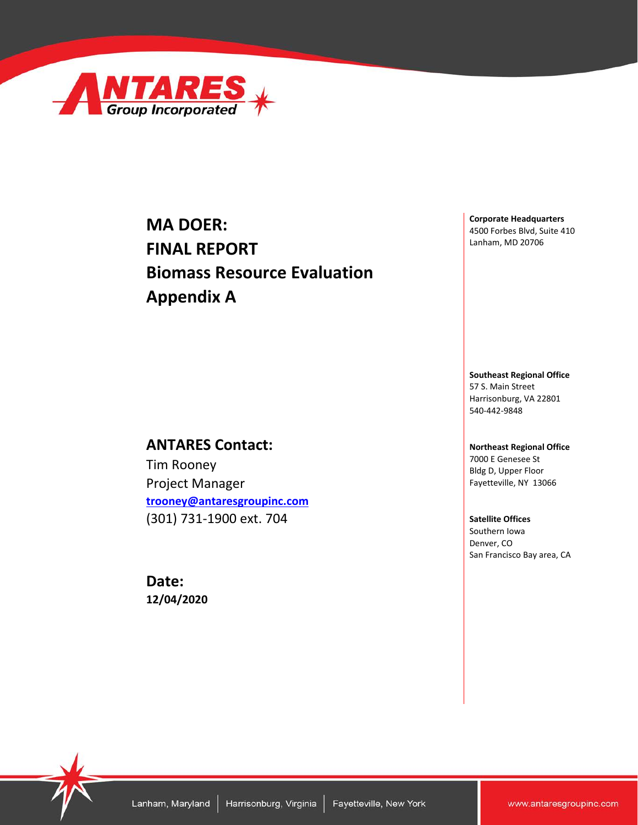

## **MA DOER: FINAL REPORT Biomass Resource Evaluation Appendix A**

## **ANTARES Contact:**

Tim Rooney Project Manager **[trooney@antaresgroupinc.com](mailto:trooney@antaresgroupinc.com)**  (301) 731-1900 ext. 704

**Date: 12/04/2020**

**Corporate Headquarters** 4500 Forbes Blvd, Suite 410 Lanham, MD 20706

**Southeast Regional Office** 57 S. Main Street Harrisonburg, VA 22801 540-442-9848

#### **Northeast Regional Office** 7000 E Genesee St Bldg D, Upper Floor Fayetteville, NY 13066

**Satellite Offices** Southern Iowa Denver, CO San Francisco Bay area, CA

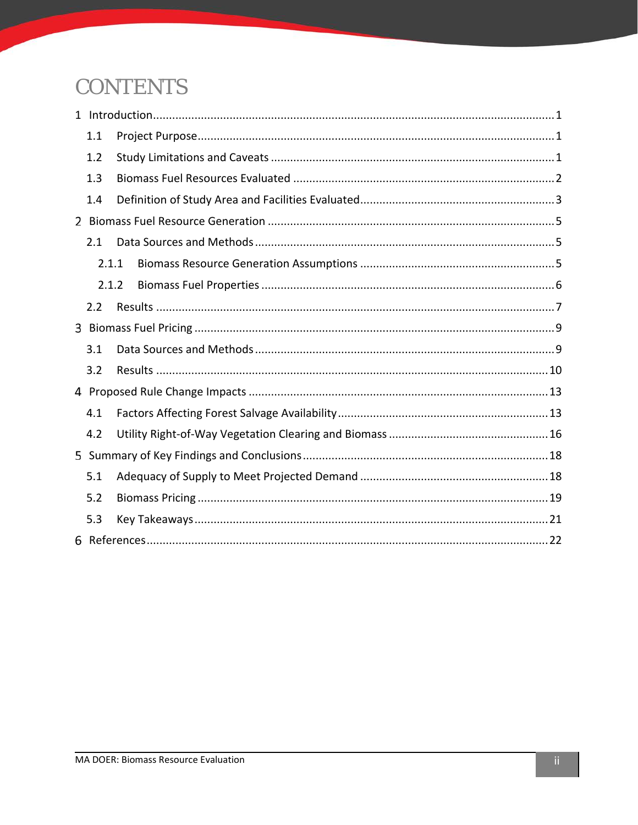# **CONTENTS**

| 1.1   |  |
|-------|--|
| 1.2   |  |
| 1.3   |  |
| 1.4   |  |
|       |  |
| 2.1   |  |
| 2.1.1 |  |
| 2.1.2 |  |
| 2.2   |  |
|       |  |
| 3.1   |  |
| 3.2   |  |
|       |  |
| 4.1   |  |
| 4.2   |  |
|       |  |
| 5.1   |  |
| 5.2   |  |
| 5.3   |  |
|       |  |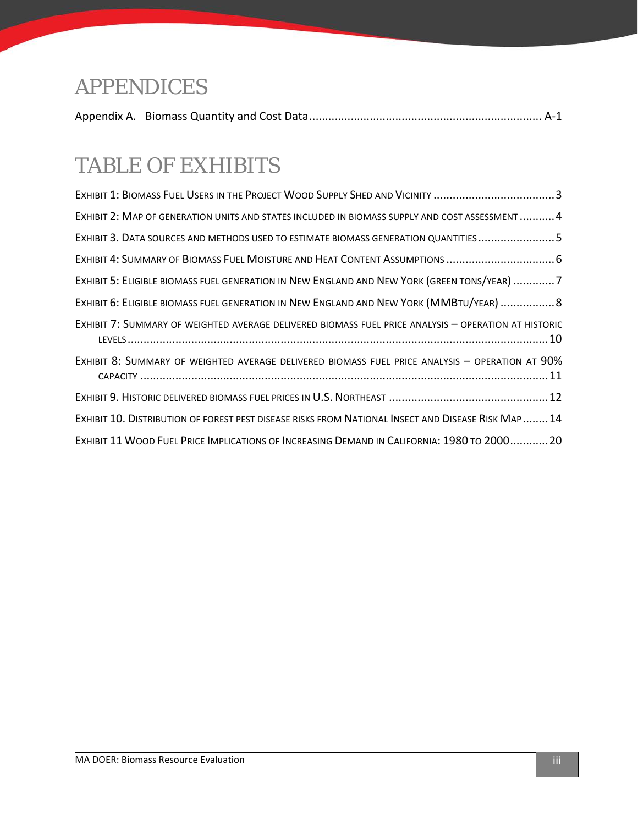# APPENDICES

|--|--|--|--|

# TABLE OF EXHIBITS

| EXHIBIT 1: BIOMASS FUEL USERS IN THE PROJECT WOOD SUPPLY SHED AND VICINITY 3                         |
|------------------------------------------------------------------------------------------------------|
| EXHIBIT 2: MAP OF GENERATION UNITS AND STATES INCLUDED IN BIOMASS SUPPLY AND COST ASSESSMENT4        |
| EXHIBIT 3. DATA SOURCES AND METHODS USED TO ESTIMATE BIOMASS GENERATION QUANTITIES5                  |
| EXHIBIT 4: SUMMARY OF BIOMASS FUEL MOISTURE AND HEAT CONTENT ASSUMPTIONS  6                          |
| EXHIBIT 5: ELIGIBLE BIOMASS FUEL GENERATION IN NEW ENGLAND AND NEW YORK (GREEN TONS/YEAR) 7          |
| EXHIBIT 6: ELIGIBLE BIOMASS FUEL GENERATION IN NEW ENGLAND AND NEW YORK (MMBTU/YEAR)  8              |
| EXHIBIT 7: SUMMARY OF WEIGHTED AVERAGE DELIVERED BIOMASS FUEL PRICE ANALYSIS - OPERATION AT HISTORIC |
| EXHIBIT 8: SUMMARY OF WEIGHTED AVERAGE DELIVERED BIOMASS FUEL PRICE ANALYSIS - OPERATION AT 90%      |
|                                                                                                      |
| EXHIBIT 10. DISTRIBUTION OF FOREST PEST DISEASE RISKS FROM NATIONAL INSECT AND DISEASE RISK MAP 14   |
| EXHIBIT 11 WOOD FUEL PRICE IMPLICATIONS OF INCREASING DEMAND IN CALIFORNIA: 1980 TO 200020           |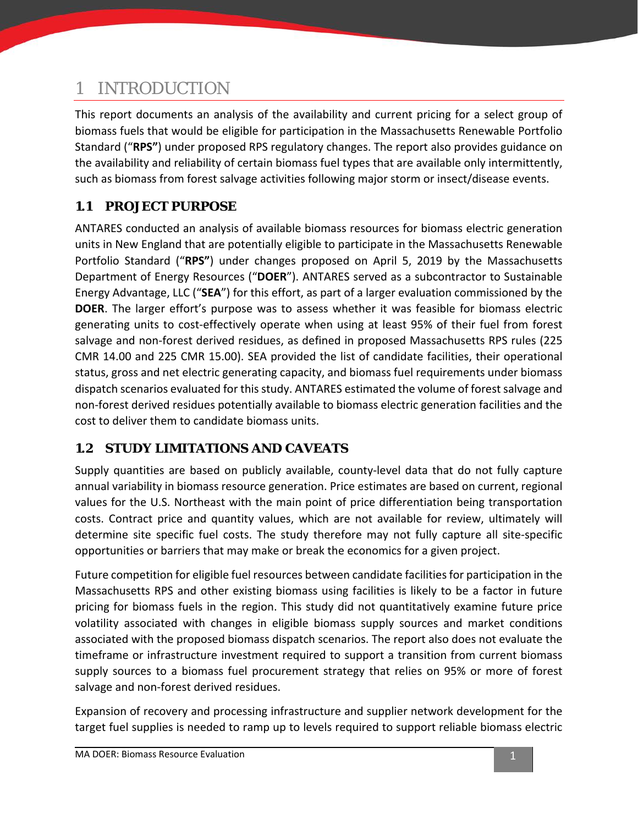## <span id="page-3-0"></span>1 INTRODUCTION

This report documents an analysis of the availability and current pricing for a select group of biomass fuels that would be eligible for participation in the Massachusetts Renewable Portfolio Standard ("**RPS"**) under proposed RPS regulatory changes. The report also provides guidance on the availability and reliability of certain biomass fuel types that are available only intermittently, such as biomass from forest salvage activities following major storm or insect/disease events.

## <span id="page-3-1"></span>**1.1 PROJECT PURPOSE**

ANTARES conducted an analysis of available biomass resources for biomass electric generation units in New England that are potentially eligible to participate in the Massachusetts Renewable Portfolio Standard ("**RPS"**) under changes proposed on April 5, 2019 by the Massachusetts Department of Energy Resources ("**DOER**"). ANTARES served as a subcontractor to Sustainable Energy Advantage, LLC ("**SEA**") for this effort, as part of a larger evaluation commissioned by the **DOER**. The larger effort's purpose was to assess whether it was feasible for biomass electric generating units to cost-effectively operate when using at least 95% of their fuel from forest salvage and non-forest derived residues, as defined in proposed Massachusetts RPS rules (225 CMR 14.00 and 225 CMR 15.00). SEA provided the list of candidate facilities, their operational status, gross and net electric generating capacity, and biomass fuel requirements under biomass dispatch scenarios evaluated for this study. ANTARES estimated the volume of forest salvage and non-forest derived residues potentially available to biomass electric generation facilities and the cost to deliver them to candidate biomass units.

## <span id="page-3-2"></span>**1.2 STUDY LIMITATIONS AND CAVEATS**

Supply quantities are based on publicly available, county-level data that do not fully capture annual variability in biomass resource generation. Price estimates are based on current, regional values for the U.S. Northeast with the main point of price differentiation being transportation costs. Contract price and quantity values, which are not available for review, ultimately will determine site specific fuel costs. The study therefore may not fully capture all site-specific opportunities or barriers that may make or break the economics for a given project.

Future competition for eligible fuel resources between candidate facilities for participation in the Massachusetts RPS and other existing biomass using facilities is likely to be a factor in future pricing for biomass fuels in the region. This study did not quantitatively examine future price volatility associated with changes in eligible biomass supply sources and market conditions associated with the proposed biomass dispatch scenarios. The report also does not evaluate the timeframe or infrastructure investment required to support a transition from current biomass supply sources to a biomass fuel procurement strategy that relies on 95% or more of forest salvage and non-forest derived residues.

Expansion of recovery and processing infrastructure and supplier network development for the target fuel supplies is needed to ramp up to levels required to support reliable biomass electric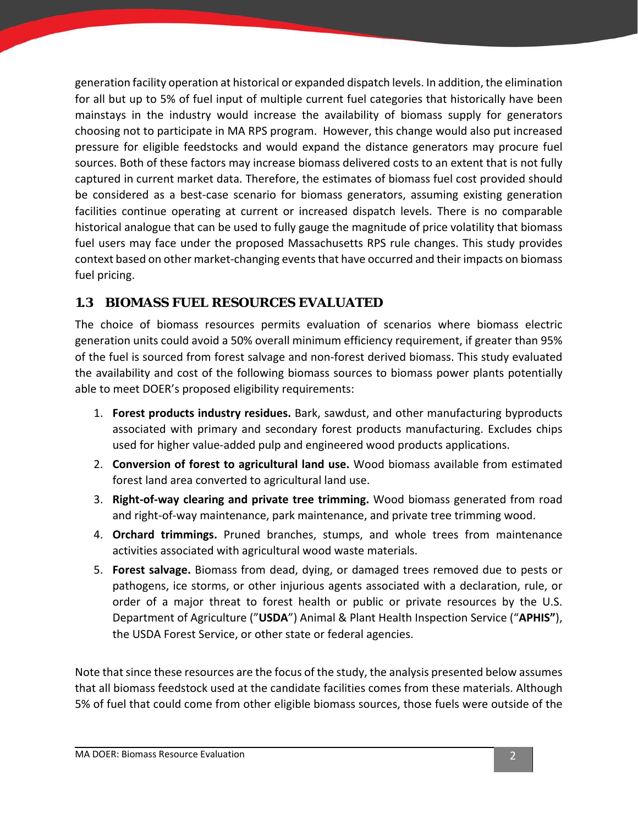generation facility operation at historical or expanded dispatch levels. In addition, the elimination for all but up to 5% of fuel input of multiple current fuel categories that historically have been mainstays in the industry would increase the availability of biomass supply for generators choosing not to participate in MA RPS program. However, this change would also put increased pressure for eligible feedstocks and would expand the distance generators may procure fuel sources. Both of these factors may increase biomass delivered costs to an extent that is not fully captured in current market data. Therefore, the estimates of biomass fuel cost provided should be considered as a best-case scenario for biomass generators, assuming existing generation facilities continue operating at current or increased dispatch levels. There is no comparable historical analogue that can be used to fully gauge the magnitude of price volatility that biomass fuel users may face under the proposed Massachusetts RPS rule changes. This study provides context based on other market-changing events that have occurred and their impacts on biomass fuel pricing.

## <span id="page-4-0"></span>**1.3 BIOMASS FUEL RESOURCES EVALUATED**

The choice of biomass resources permits evaluation of scenarios where biomass electric generation units could avoid a 50% overall minimum efficiency requirement, if greater than 95% of the fuel is sourced from forest salvage and non-forest derived biomass. This study evaluated the availability and cost of the following biomass sources to biomass power plants potentially able to meet DOER's proposed eligibility requirements:

- 1. **Forest products industry residues.** Bark, sawdust, and other manufacturing byproducts associated with primary and secondary forest products manufacturing. Excludes chips used for higher value-added pulp and engineered wood products applications.
- 2. **Conversion of forest to agricultural land use.** Wood biomass available from estimated forest land area converted to agricultural land use.
- 3. **Right-of-way clearing and private tree trimming.** Wood biomass generated from road and right-of-way maintenance, park maintenance, and private tree trimming wood.
- 4. **Orchard trimmings.** Pruned branches, stumps, and whole trees from maintenance activities associated with agricultural wood waste materials.
- 5. **Forest salvage.** Biomass from dead, dying, or damaged trees removed due to pests or pathogens, ice storms, or other injurious agents associated with a declaration, rule, or order of a major threat to forest health or public or private resources by the U.S. Department of Agriculture ("**USDA**") Animal & Plant Health Inspection Service ("**APHIS"**), the USDA Forest Service, or other state or federal agencies.

Note that since these resources are the focus of the study, the analysis presented below assumes that all biomass feedstock used at the candidate facilities comes from these materials. Although 5% of fuel that could come from other eligible biomass sources, those fuels were outside of the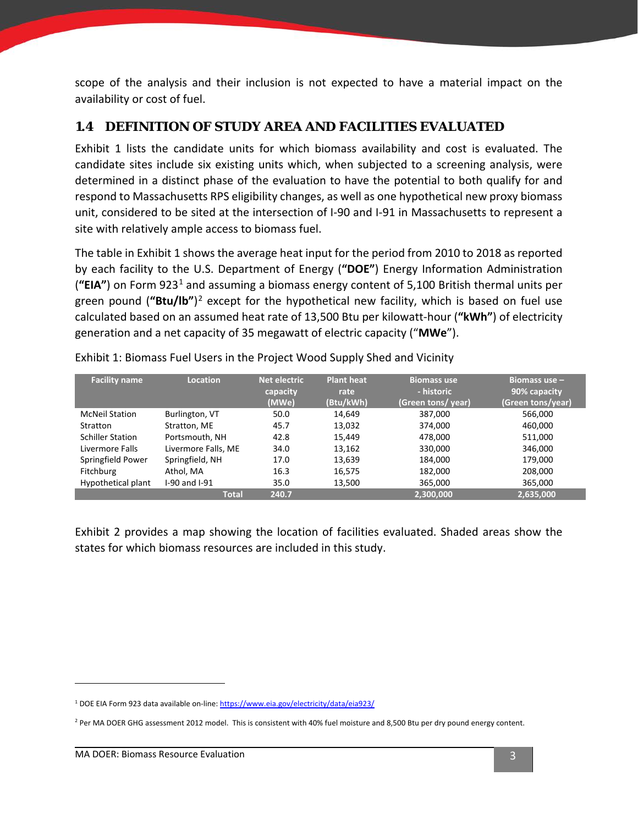scope of the analysis and their inclusion is not expected to have a material impact on the availability or cost of fuel.

### <span id="page-5-0"></span>**1.4 DEFINITION OF STUDY AREA AND FACILITIES EVALUATED**

[Exhibit 1](#page-5-1) lists the candidate units for which biomass availability and cost is evaluated. The candidate sites include six existing units which, when subjected to a screening analysis, were determined in a distinct phase of the evaluation to have the potential to both qualify for and respond to Massachusetts RPS eligibility changes, as well as one hypothetical new proxy biomass unit, considered to be sited at the intersection of I-90 and I-91 in Massachusetts to represent a site with relatively ample access to biomass fuel.

The table in [Exhibit 1](#page-5-1) shows the average heat input for the period from 2010 to 2018 as reported by each facility to the U.S. Department of Energy (**"DOE"**) Energy Information Administration (**"EIA"**) on Form 923[1](#page-5-2) and assuming a biomass energy content of 5,100 British thermal units per green pound (**"Btu/lb"**)[2](#page-5-3) except for the hypothetical new facility, which is based on fuel use calculated based on an assumed heat rate of 13,500 Btu per kilowatt-hour (**"kWh"**) of electricity generation and a net capacity of 35 megawatt of electric capacity ("**MWe**").

| <b>Facility name</b>    | <b>Location</b>     | <b>Net electric</b> | <b>Plant heat</b> | <b>Biomass use</b> | Biomass use -     |
|-------------------------|---------------------|---------------------|-------------------|--------------------|-------------------|
|                         |                     | capacity            | rate              | - historic         | 90% capacity      |
|                         |                     | (MWe)               | (Btu/kWh)         | (Green tons/ year) | (Green tons/year) |
| <b>McNeil Station</b>   | Burlington, VT      | 50.0                | 14,649            | 387,000            | 566,000           |
| Stratton                | Stratton, ME        | 45.7                | 13,032            | 374,000            | 460,000           |
| <b>Schiller Station</b> | Portsmouth, NH      | 42.8                | 15.449            | 478,000            | 511,000           |
| Livermore Falls         | Livermore Falls, ME | 34.0                | 13,162            | 330,000            | 346,000           |
| Springfield Power       | Springfield, NH     | 17.0                | 13,639            | 184,000            | 179,000           |
| Fitchburg               | Athol, MA           | 16.3                | 16,575            | 182,000            | 208,000           |
| Hypothetical plant      | I-90 and I-91       | 35.0                | 13,500            | 365,000            | 365,000           |
|                         | <b>Total</b>        | 240.7               |                   | 2,300,000          | 2,635,000         |

<span id="page-5-1"></span>Exhibit 1: Biomass Fuel Users in the Project Wood Supply Shed and Vicinity

[Exhibit 2](#page-6-0) provides a map showing the location of facilities evaluated. Shaded areas show the states for which biomass resources are included in this study.

<span id="page-5-2"></span><sup>&</sup>lt;sup>1</sup> DOE EIA Form 923 data available on-line[: https://www.eia.gov/electricity/data/eia923/](https://www.eia.gov/electricity/data/eia923/)

<span id="page-5-3"></span><sup>&</sup>lt;sup>2</sup> Per MA DOER GHG assessment 2012 model. This is consistent with 40% fuel moisture and 8,500 Btu per dry pound energy content.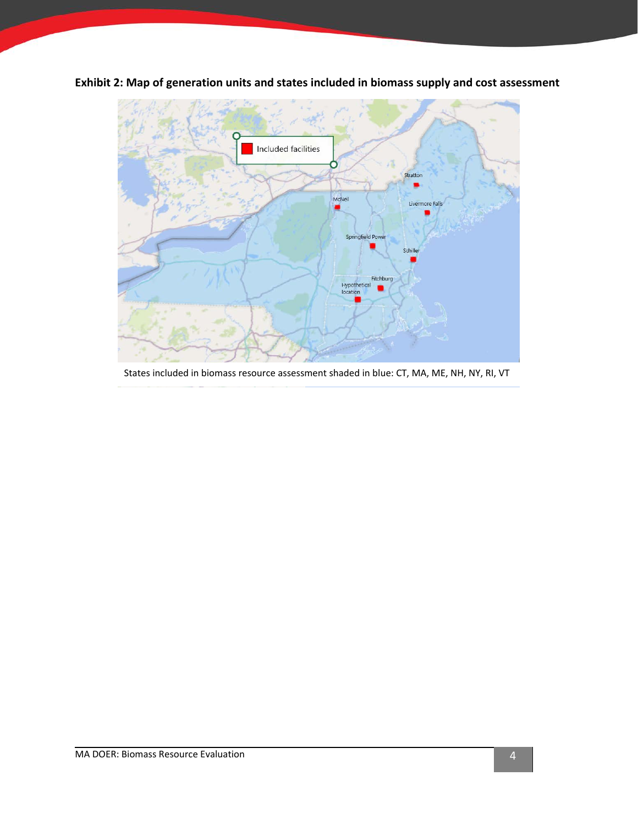

<span id="page-6-0"></span>**Exhibit 2: Map of generation units and states included in biomass supply and cost assessment**

States included in biomass resource assessment shaded in blue: CT, MA, ME, NH, NY, RI, VT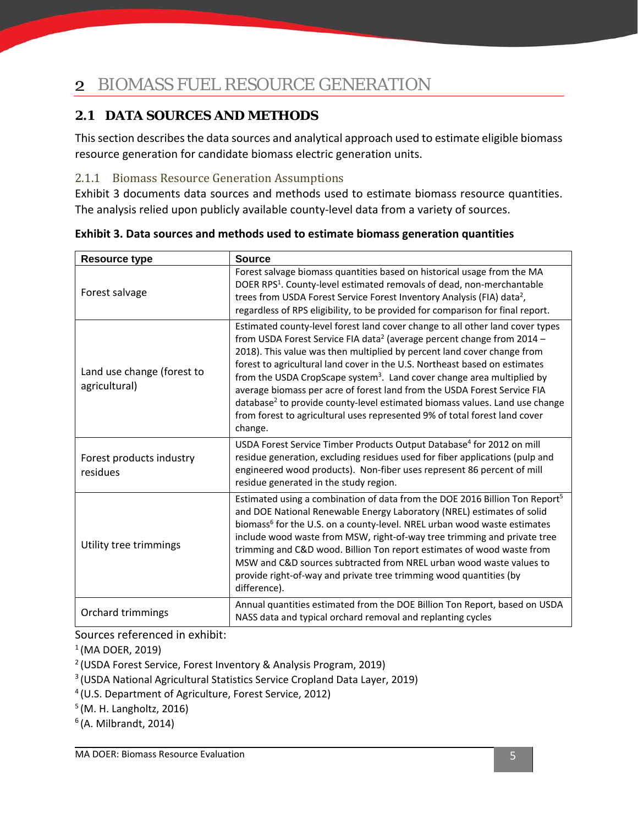## <span id="page-7-0"></span>2 BIOMASS FUEL RESOURCE GENERATION

## <span id="page-7-1"></span>**2.1 DATA SOURCES AND METHODS**

This section describes the data sources and analytical approach used to estimate eligible biomass resource generation for candidate biomass electric generation units.

### <span id="page-7-2"></span>2.1.1 Biomass Resource Generation Assumptions

[Exhibit](#page-7-3) 3 documents data sources and methods used to estimate biomass resource quantities. The analysis relied upon publicly available county-level data from a variety of sources.

| <b>Resource type</b>                        | <b>Source</b>                                                                                                                                                                                                                                                                                                                                                                                                                                                                                                                                                                                                                                                                      |
|---------------------------------------------|------------------------------------------------------------------------------------------------------------------------------------------------------------------------------------------------------------------------------------------------------------------------------------------------------------------------------------------------------------------------------------------------------------------------------------------------------------------------------------------------------------------------------------------------------------------------------------------------------------------------------------------------------------------------------------|
| Forest salvage                              | Forest salvage biomass quantities based on historical usage from the MA<br>DOER RPS <sup>1</sup> . County-level estimated removals of dead, non-merchantable<br>trees from USDA Forest Service Forest Inventory Analysis (FIA) data <sup>2</sup> ,<br>regardless of RPS eligibility, to be provided for comparison for final report.                                                                                                                                                                                                                                                                                                                                               |
| Land use change (forest to<br>agricultural) | Estimated county-level forest land cover change to all other land cover types<br>from USDA Forest Service FIA data <sup>2</sup> (average percent change from 2014 -<br>2018). This value was then multiplied by percent land cover change from<br>forest to agricultural land cover in the U.S. Northeast based on estimates<br>from the USDA CropScape system <sup>3</sup> . Land cover change area multiplied by<br>average biomass per acre of forest land from the USDA Forest Service FIA<br>database <sup>2</sup> to provide county-level estimated biomass values. Land use change<br>from forest to agricultural uses represented 9% of total forest land cover<br>change. |
| Forest products industry<br>residues        | USDA Forest Service Timber Products Output Database <sup>4</sup> for 2012 on mill<br>residue generation, excluding residues used for fiber applications (pulp and<br>engineered wood products). Non-fiber uses represent 86 percent of mill<br>residue generated in the study region.                                                                                                                                                                                                                                                                                                                                                                                              |
| Utility tree trimmings                      | Estimated using a combination of data from the DOE 2016 Billion Ton Report <sup>5</sup><br>and DOE National Renewable Energy Laboratory (NREL) estimates of solid<br>biomass <sup>6</sup> for the U.S. on a county-level. NREL urban wood waste estimates<br>include wood waste from MSW, right-of-way tree trimming and private tree<br>trimming and C&D wood. Billion Ton report estimates of wood waste from<br>MSW and C&D sources subtracted from NREL urban wood waste values to<br>provide right-of-way and private tree trimming wood quantities (by<br>difference).                                                                                                       |
| Orchard trimmings                           | Annual quantities estimated from the DOE Billion Ton Report, based on USDA<br>NASS data and typical orchard removal and replanting cycles                                                                                                                                                                                                                                                                                                                                                                                                                                                                                                                                          |

<span id="page-7-3"></span>**Exhibit 3. Data sources and methods used to estimate biomass generation quantities**

Sources referenced in exhibit:

 $1$ (MA DOER, 2019)

<sup>2</sup> (USDA Forest Service, Forest Inventory & Analysis Program, 2019)

<sup>3</sup> (USDA National Agricultural Statistics Service Cropland Data Layer, 2019)

<sup>4</sup> (U.S. Department of Agriculture, Forest Service, 2012)

<sup>5</sup> (M. H. Langholtz, 2016)

 $<sup>6</sup>$ (A. Milbrandt, 2014)</sup>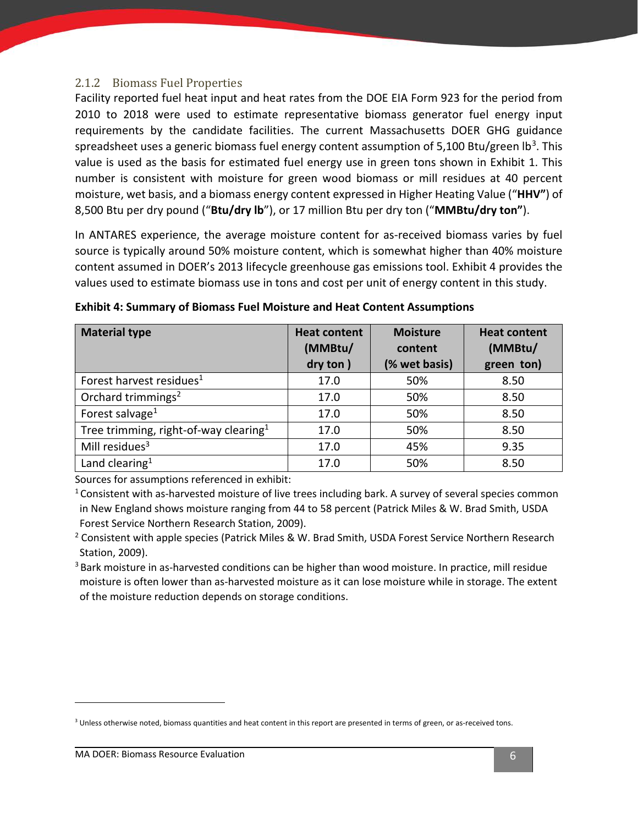#### <span id="page-8-0"></span>2.1.2 Biomass Fuel Properties

Facility reported fuel heat input and heat rates from the DOE EIA Form 923 for the period from 2010 to 2018 were used to estimate representative biomass generator fuel energy input requirements by the candidate facilities. The current Massachusetts DOER GHG guidance spreadsheet uses a generic biomass fuel energy content assumption of 5,100 Btu/green lb<sup>[3](#page-8-2)</sup>. This value is used as the basis for estimated fuel energy use in green tons shown in [Exhibit 1.](#page-5-1) This number is consistent with moisture for green wood biomass or mill residues at 40 percent moisture, wet basis, and a biomass energy content expressed in Higher Heating Value ("**HHV"**) of 8,500 Btu per dry pound ("**Btu/dry lb**"), or 17 million Btu per dry ton ("**MMBtu/dry ton"**).

In ANTARES experience, the average moisture content for as-received biomass varies by fuel source is typically around 50% moisture content, which is somewhat higher than 40% moisture content assumed in DOER's 2013 lifecycle greenhouse gas emissions tool. [Exhibit 4](#page-8-1) provides the values used to estimate biomass use in tons and cost per unit of energy content in this study.

| <b>Material type</b>                              | <b>Heat content</b> | <b>Moisture</b> | <b>Heat content</b> |  |
|---------------------------------------------------|---------------------|-----------------|---------------------|--|
|                                                   | (MMBtu/             | content         | (MMBtu/             |  |
|                                                   | dry ton)            | (% wet basis)   | green ton)          |  |
| Forest harvest residues <sup>1</sup>              | 17.0                | 50%             | 8.50                |  |
| Orchard trimmings <sup>2</sup>                    | 17.0                | 50%             | 8.50                |  |
| Forest salvage <sup>1</sup>                       | 17.0                | 50%             | 8.50                |  |
| Tree trimming, right-of-way clearing <sup>1</sup> | 17.0                | 50%             | 8.50                |  |
| Mill residues <sup>3</sup>                        | 17.0                | 45%             | 9.35                |  |
| Land clearing <sup>1</sup>                        | 17.0                | 50%             | 8.50                |  |

<span id="page-8-1"></span>**Exhibit 4: Summary of Biomass Fuel Moisture and Heat Content Assumptions**

Sources for assumptions referenced in exhibit:

<sup>1</sup> Consistent with as-harvested moisture of live trees including bark. A survey of several species common in New England shows moisture ranging from 44 to 58 percent (Patrick Miles & W. Brad Smith, USDA Forest Service Northern Research Station, 2009).

<sup>2</sup> Consistent with apple species (Patrick Miles & W. Brad Smith, USDA Forest Service Northern Research

Station, 2009).<br><sup>3</sup> Bark moisture in as-harvested conditions can be higher than wood moisture. In practice, mill residue moisture is often lower than as-harvested moisture as it can lose moisture while in storage. The extent of the moisture reduction depends on storage conditions.

<span id="page-8-2"></span><sup>&</sup>lt;sup>3</sup> Unless otherwise noted, biomass quantities and heat content in this report are presented in terms of green, or as-received tons.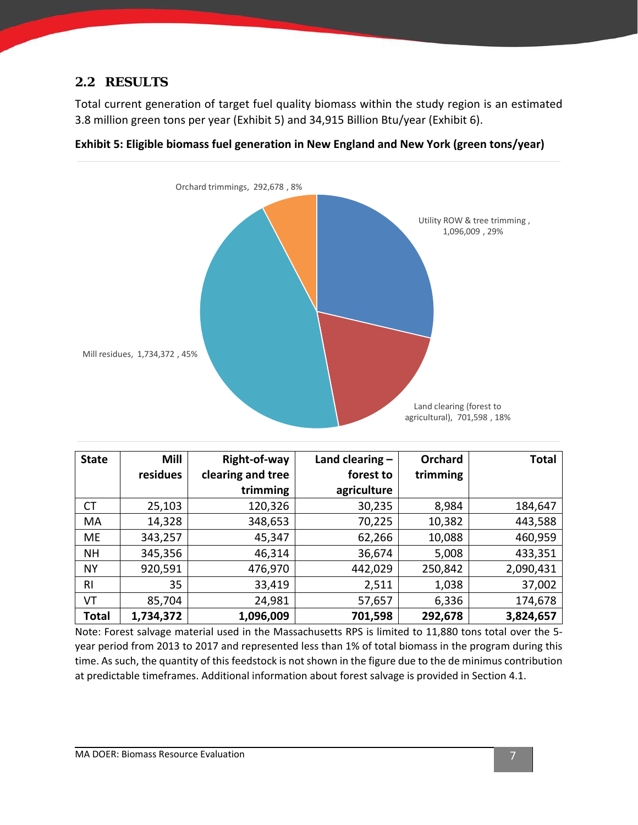### <span id="page-9-0"></span>**2.2 RESULTS**

Total current generation of target fuel quality biomass within the study region is an estimated 3.8 million green tons per year [\(Exhibit 5\)](#page-9-1) and 34,915 Billion Btu/year [\(Exhibit 6\)](#page-10-0).



<span id="page-9-1"></span>**Exhibit 5: Eligible biomass fuel generation in New England and New York (green tons/year)**

| <b>State</b>   | <b>Mill</b> | Right-of-way      | Land clearing $-$ | Orchard  | <b>Total</b> |
|----------------|-------------|-------------------|-------------------|----------|--------------|
|                | residues    | clearing and tree | forest to         | trimming |              |
|                |             | trimming          | agriculture       |          |              |
| <b>CT</b>      | 25,103      | 120,326           | 30,235            | 8,984    | 184,647      |
| MA             | 14,328      | 348,653           | 70,225            | 10,382   | 443,588      |
| ME             | 343,257     | 45,347            | 62,266            | 10,088   | 460,959      |
| <b>NH</b>      | 345,356     | 46,314            | 36,674            | 5,008    | 433,351      |
| <b>NY</b>      | 920,591     | 476,970           | 442,029           | 250,842  | 2,090,431    |
| R <sub>l</sub> | 35          | 33,419            | 2,511             | 1,038    | 37,002       |
| VT             | 85,704      | 24,981            | 57,657            | 6,336    | 174,678      |
| <b>Total</b>   | 1,734,372   | 1,096,009         | 701,598           | 292,678  | 3,824,657    |

Note: Forest salvage material used in the Massachusetts RPS is limited to 11,880 tons total over the 5 year period from 2013 to 2017 and represented less than 1% of total biomass in the program during this time. As such, the quantity of this feedstock is not shown in the figure due to the de minimus contribution at predictable timeframes. Additional information about forest salvage is provided in Section [4.1.](#page-15-1)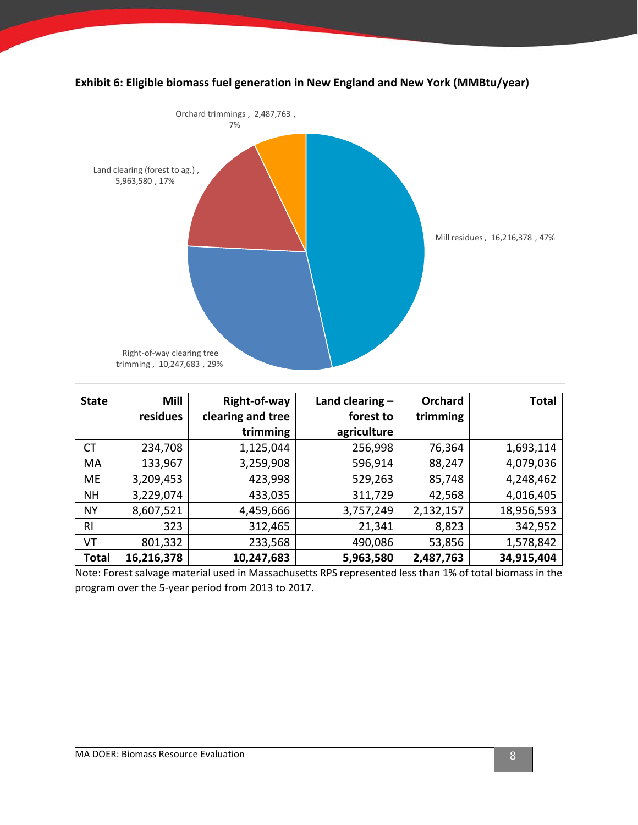

### <span id="page-10-0"></span>**Exhibit 6: Eligible biomass fuel generation in New England and New York (MMBtu/year)**

| <b>State</b> | <b>Mill</b> | Right-of-way      | Land clearing $-$ | Orchard   | <b>Total</b> |
|--------------|-------------|-------------------|-------------------|-----------|--------------|
|              | residues    | clearing and tree | forest to         | trimming  |              |
|              |             | trimming          | agriculture       |           |              |
| <b>CT</b>    | 234,708     | 1,125,044         | 256,998           | 76,364    | 1,693,114    |
| MA           | 133,967     | 3,259,908         | 596,914           | 88,247    | 4,079,036    |
| ME           | 3,209,453   | 423,998           | 529,263           | 85,748    | 4,248,462    |
| <b>NH</b>    | 3,229,074   | 433,035           | 311,729           | 42,568    | 4,016,405    |
| <b>NY</b>    | 8,607,521   | 4,459,666         | 3,757,249         | 2,132,157 | 18,956,593   |
| RI.          | 323         | 312,465           | 21,341            | 8,823     | 342,952      |
| VT           | 801,332     | 233,568           | 490,086           | 53,856    | 1,578,842    |
| <b>Total</b> | 16,216,378  | 10,247,683        | 5,963,580         | 2,487,763 | 34,915,404   |

Note: Forest salvage material used in Massachusetts RPS represented less than 1% of total biomass in the program over the 5-year period from 2013 to 2017.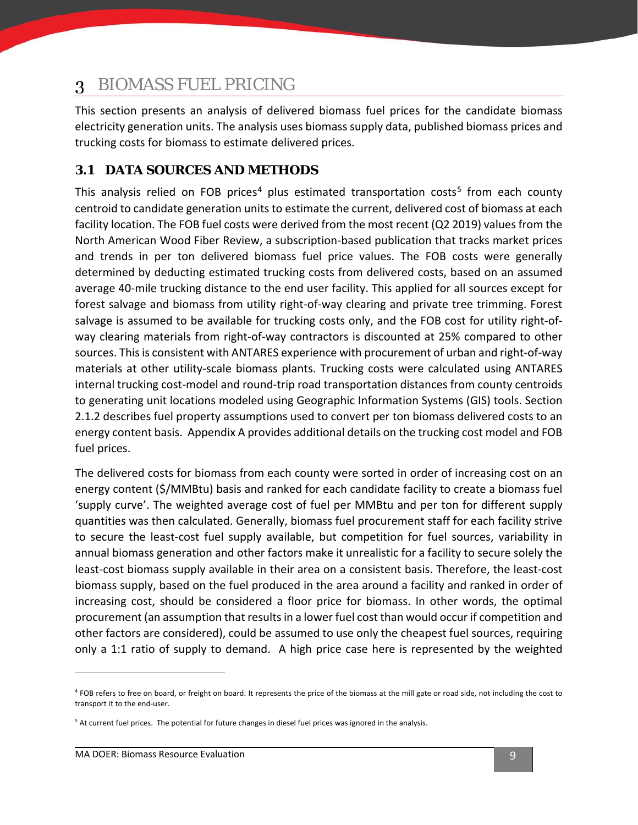#### <span id="page-11-0"></span>BIOMASS FUEL PRICING 3

This section presents an analysis of delivered biomass fuel prices for the candidate biomass electricity generation units. The analysis uses biomass supply data, published biomass prices and trucking costs for biomass to estimate delivered prices.

## <span id="page-11-1"></span>**3.1 DATA SOURCES AND METHODS**

This analysis relied on FOB prices<sup>[4](#page-11-2)</sup> plus estimated transportation costs<sup>[5](#page-11-3)</sup> from each county centroid to candidate generation units to estimate the current, delivered cost of biomass at each facility location. The FOB fuel costs were derived from the most recent (Q2 2019) values from the North American Wood Fiber Review, a subscription-based publication that tracks market prices and trends in per ton delivered biomass fuel price values. The FOB costs were generally determined by deducting estimated trucking costs from delivered costs, based on an assumed average 40-mile trucking distance to the end user facility. This applied for all sources except for forest salvage and biomass from utility right-of-way clearing and private tree trimming. Forest salvage is assumed to be available for trucking costs only, and the FOB cost for utility right-ofway clearing materials from right-of-way contractors is discounted at 25% compared to other sources. This is consistent with ANTARES experience with procurement of urban and right-of-way materials at other utility-scale biomass plants. Trucking costs were calculated using ANTARES internal trucking cost-model and round-trip road transportation distances from county centroids to generating unit locations modeled using Geographic Information Systems (GIS) tools. Section [2.1.2](#page-8-0) describes fuel property assumptions used to convert per ton biomass delivered costs to an energy content basis. [Appendix A](#page-26-0) provides additional details on the trucking cost model and FOB fuel prices.

The delivered costs for biomass from each county were sorted in order of increasing cost on an energy content (\$/MMBtu) basis and ranked for each candidate facility to create a biomass fuel 'supply curve'. The weighted average cost of fuel per MMBtu and per ton for different supply quantities was then calculated. Generally, biomass fuel procurement staff for each facility strive to secure the least-cost fuel supply available, but competition for fuel sources, variability in annual biomass generation and other factors make it unrealistic for a facility to secure solely the least-cost biomass supply available in their area on a consistent basis. Therefore, the least-cost biomass supply, based on the fuel produced in the area around a facility and ranked in order of increasing cost, should be considered a floor price for biomass. In other words, the optimal procurement (an assumption that results in a lower fuel cost than would occur if competition and other factors are considered), could be assumed to use only the cheapest fuel sources, requiring only a 1:1 ratio of supply to demand. A high price case here is represented by the weighted

<span id="page-11-2"></span><sup>&</sup>lt;sup>4</sup> FOB refers to free on board, or freight on board. It represents the price of the biomass at the mill gate or road side, not including the cost to transport it to the end-user.

<span id="page-11-3"></span><sup>&</sup>lt;sup>5</sup> At current fuel prices. The potential for future changes in diesel fuel prices was ignored in the analysis.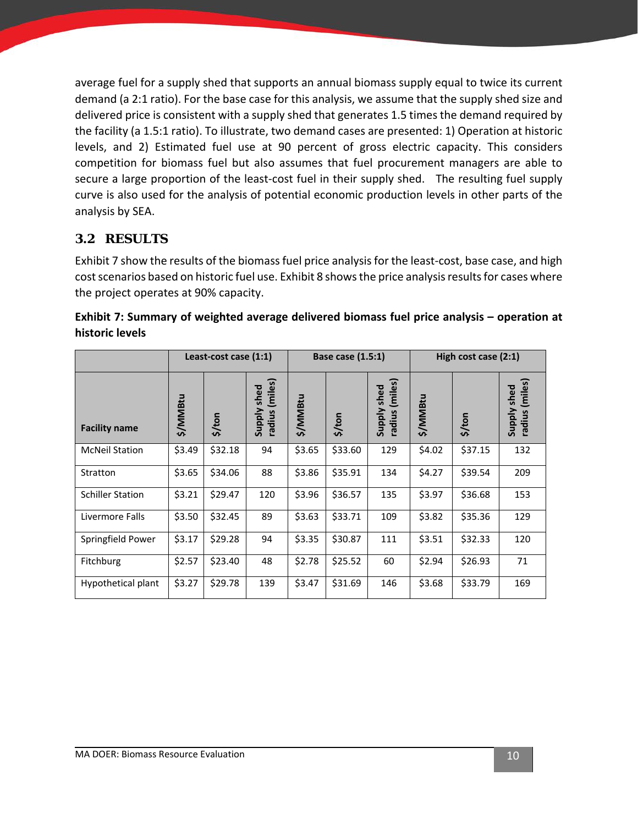average fuel for a supply shed that supports an annual biomass supply equal to twice its current demand (a 2:1 ratio). For the base case for this analysis, we assume that the supply shed size and delivered price is consistent with a supply shed that generates 1.5 times the demand required by the facility (a 1.5:1 ratio). To illustrate, two demand cases are presented: 1) Operation at historic levels, and 2) Estimated fuel use at 90 percent of gross electric capacity. This considers competition for biomass fuel but also assumes that fuel procurement managers are able to secure a large proportion of the least-cost fuel in their supply shed. The resulting fuel supply curve is also used for the analysis of potential economic production levels in other parts of the analysis by SEA.

### <span id="page-12-0"></span>**3.2 RESULTS**

[Exhibit 7](#page-12-1) show the results of the biomass fuel price analysis for the least-cost, base case, and high cost scenarios based on historic fuel use. [Exhibit 8](#page-13-0) shows the price analysis results for cases where the project operates at 90% capacity.

<span id="page-12-1"></span>

| Exhibit 7: Summary of weighted average delivered biomass fuel price analysis – operation at |  |  |
|---------------------------------------------------------------------------------------------|--|--|
| historic levels                                                                             |  |  |

|                         | Least-cost case (1:1) |         | Base case (1.5:1)                          |          |         | High cost case $(2:1)$           |          |         |                                  |
|-------------------------|-----------------------|---------|--------------------------------------------|----------|---------|----------------------------------|----------|---------|----------------------------------|
| <b>Facility name</b>    | \$/MMBtu              | \$/ton  | (miles)<br>shed<br><b>Viddns</b><br>radius | \$/MMBtu | \$/ton  | (miles)<br>Supply shed<br>radius | \$/MMBtu | \$/ton  | (miles)<br>Supply shed<br>radius |
| <b>McNeil Station</b>   | \$3.49                | \$32.18 | 94                                         | \$3.65   | \$33.60 | 129                              | \$4.02   | \$37.15 | 132                              |
| Stratton                | \$3.65                | \$34.06 | 88                                         | \$3.86   | \$35.91 | 134                              | \$4.27   | \$39.54 | 209                              |
| <b>Schiller Station</b> | \$3.21                | \$29.47 | 120                                        | \$3.96   | \$36.57 | 135                              | \$3.97   | \$36.68 | 153                              |
| Livermore Falls         | \$3.50                | \$32.45 | 89                                         | \$3.63   | \$33.71 | 109                              | \$3.82   | \$35.36 | 129                              |
| Springfield Power       | \$3.17                | \$29.28 | 94                                         | \$3.35   | \$30.87 | 111                              | \$3.51   | \$32.33 | 120                              |
| Fitchburg               | \$2.57                | \$23.40 | 48                                         | \$2.78   | \$25.52 | 60                               | \$2.94   | \$26.93 | 71                               |
| Hypothetical plant      | \$3.27                | \$29.78 | 139                                        | \$3.47   | \$31.69 | 146                              | \$3.68   | \$33.79 | 169                              |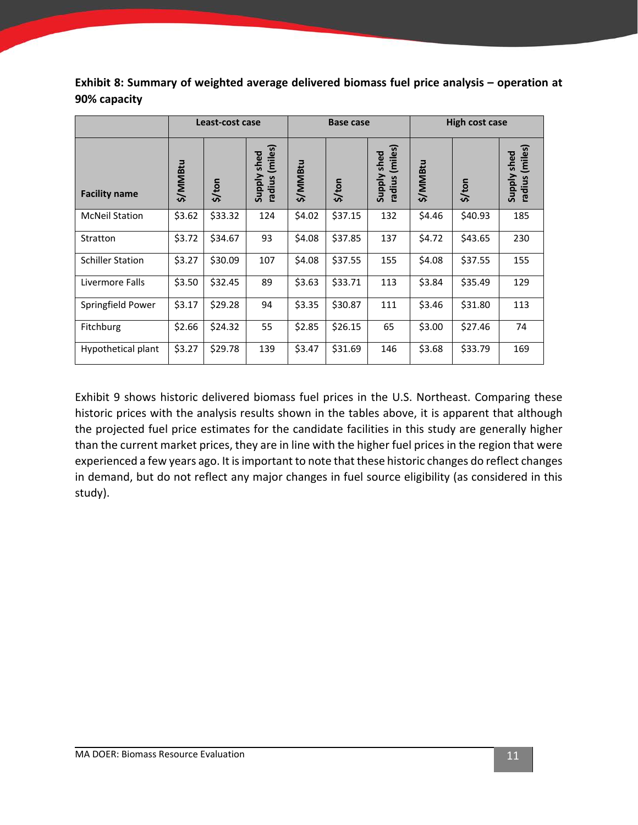<span id="page-13-0"></span>**Exhibit 8: Summary of weighted average delivered biomass fuel price analysis – operation at 90% capacity** 

|                         | Least-cost case |         |                                  |          | <b>Base case</b> |                                  |          | High cost case |                                  |  |
|-------------------------|-----------------|---------|----------------------------------|----------|------------------|----------------------------------|----------|----------------|----------------------------------|--|
| <b>Facility name</b>    | \$/MMBtu        | \$/ton  | (miles)<br>Supply shed<br>radius | \$/MMBtu | \$/ton           | (miles)<br>Supply shed<br>radius | \$/MMBtu | \$/ton         | (miles)<br>Supply shed<br>radius |  |
| <b>McNeil Station</b>   | \$3.62          | \$33.32 | 124                              | \$4.02   | \$37.15          | 132                              | \$4.46   | \$40.93        | 185                              |  |
| Stratton                | \$3.72          | \$34.67 | 93                               | \$4.08   | \$37.85          | 137                              | \$4.72   | \$43.65        | 230                              |  |
| <b>Schiller Station</b> | \$3.27          | \$30.09 | 107                              | \$4.08   | \$37.55          | 155                              | \$4.08   | \$37.55        | 155                              |  |
| Livermore Falls         | \$3.50          | \$32.45 | 89                               | \$3.63   | \$33.71          | 113                              | \$3.84   | \$35.49        | 129                              |  |
| Springfield Power       | \$3.17          | \$29.28 | 94                               | \$3.35   | \$30.87          | 111                              | \$3.46   | \$31.80        | 113                              |  |
| Fitchburg               | \$2.66          | \$24.32 | 55                               | \$2.85   | \$26.15          | 65                               | \$3.00   | \$27.46        | 74                               |  |
| Hypothetical plant      | \$3.27          | \$29.78 | 139                              | \$3.47   | \$31.69          | 146                              | \$3.68   | \$33.79        | 169                              |  |

[Exhibit 9](#page-14-0) shows historic delivered biomass fuel prices in the U.S. Northeast. Comparing these historic prices with the analysis results shown in the tables above, it is apparent that although the projected fuel price estimates for the candidate facilities in this study are generally higher than the current market prices, they are in line with the higher fuel prices in the region that were experienced a few years ago. It is important to note that these historic changes do reflect changes in demand, but do not reflect any major changes in fuel source eligibility (as considered in this study).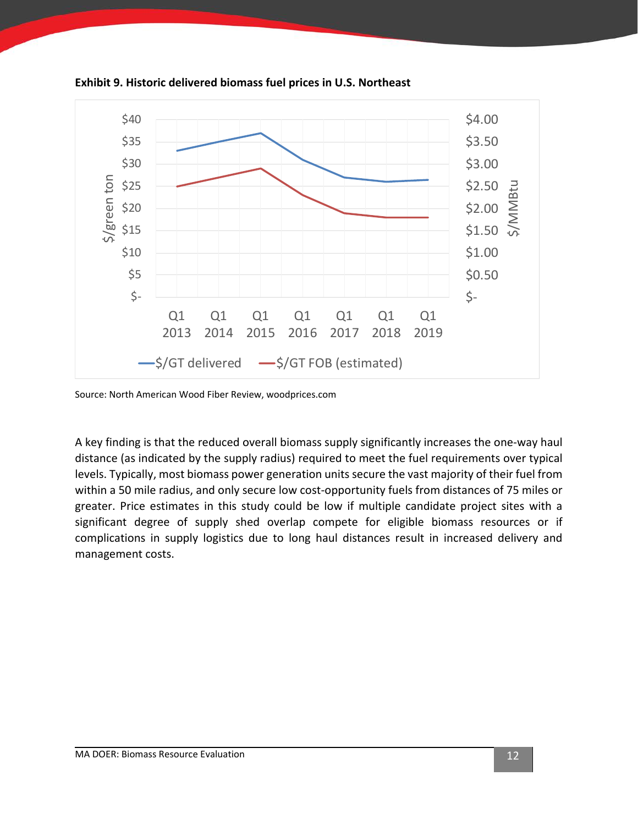

<span id="page-14-0"></span>**Exhibit 9. Historic delivered biomass fuel prices in U.S. Northeast**

Source: North American Wood Fiber Review, woodprices.com

A key finding is that the reduced overall biomass supply significantly increases the one-way haul distance (as indicated by the supply radius) required to meet the fuel requirements over typical levels. Typically, most biomass power generation units secure the vast majority of their fuel from within a 50 mile radius, and only secure low cost-opportunity fuels from distances of 75 miles or greater. Price estimates in this study could be low if multiple candidate project sites with a significant degree of supply shed overlap compete for eligible biomass resources or if complications in supply logistics due to long haul distances result in increased delivery and management costs.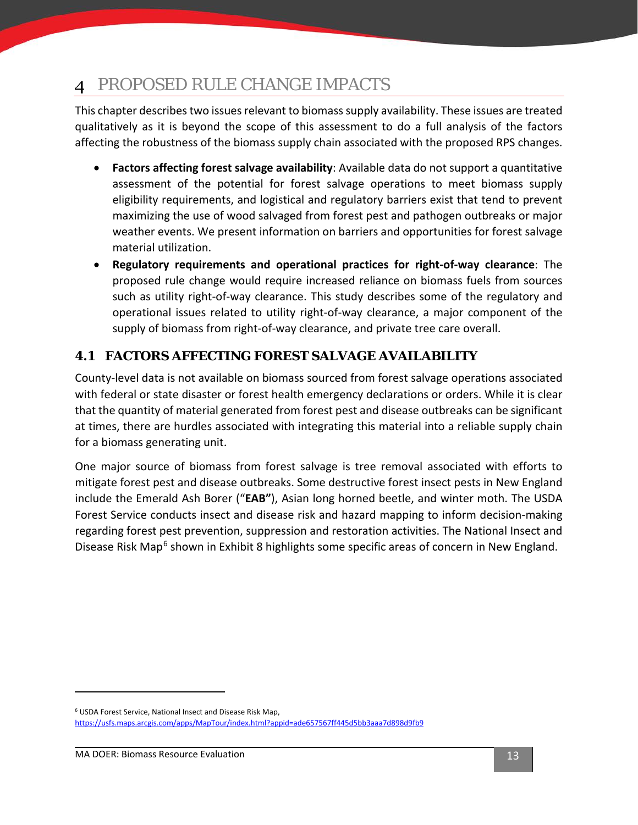#### <span id="page-15-0"></span>PROPOSED RULE CHANGE IMPACTS 4

This chapter describes two issues relevant to biomass supply availability. These issues are treated qualitatively as it is beyond the scope of this assessment to do a full analysis of the factors affecting the robustness of the biomass supply chain associated with the proposed RPS changes.

- **Factors affecting forest salvage availability**: Available data do not support a quantitative assessment of the potential for forest salvage operations to meet biomass supply eligibility requirements, and logistical and regulatory barriers exist that tend to prevent maximizing the use of wood salvaged from forest pest and pathogen outbreaks or major weather events. We present information on barriers and opportunities for forest salvage material utilization.
- **Regulatory requirements and operational practices for right-of-way clearance**: The proposed rule change would require increased reliance on biomass fuels from sources such as utility right-of-way clearance. This study describes some of the regulatory and operational issues related to utility right-of-way clearance, a major component of the supply of biomass from right-of-way clearance, and private tree care overall.

## <span id="page-15-1"></span>**4.1 FACTORS AFFECTING FOREST SALVAGE AVAILABILITY**

County-level data is not available on biomass sourced from forest salvage operations associated with federal or state disaster or forest health emergency declarations or orders. While it is clear that the quantity of material generated from forest pest and disease outbreaks can be significant at times, there are hurdles associated with integrating this material into a reliable supply chain for a biomass generating unit.

One major source of biomass from forest salvage is tree removal associated with efforts to mitigate forest pest and disease outbreaks. Some destructive forest insect pests in New England include the Emerald Ash Borer ("**EAB"**), Asian long horned beetle, and winter moth. The USDA Forest Service conducts insect and disease risk and hazard mapping to inform decision-making regarding forest pest prevention, suppression and restoration activities. The National Insect and Disease Risk Map<sup>[6](#page-15-2)</sup> shown in [Exhibit 8](#page-16-0) highlights some specific areas of concern in New England.

<span id="page-15-2"></span><sup>6</sup> USDA Forest Service, National Insect and Disease Risk Map, <https://usfs.maps.arcgis.com/apps/MapTour/index.html?appid=ade657567ff445d5bb3aaa7d898d9fb9>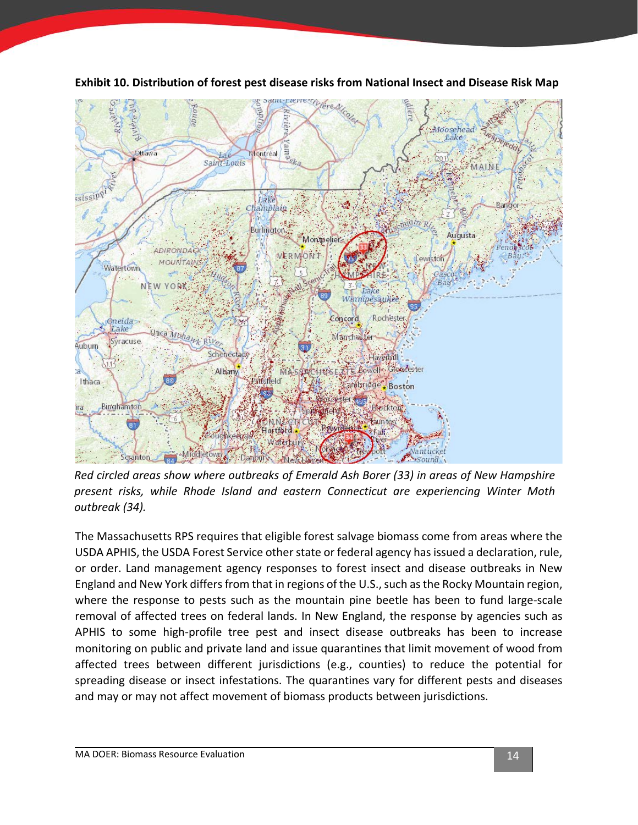

<span id="page-16-0"></span>**Exhibit 10. Distribution of forest pest disease risks from National Insect and Disease Risk Map**

*Red circled areas show where outbreaks of Emerald Ash Borer (33) in areas of New Hampshire present risks, while Rhode Island and eastern Connecticut are experiencing Winter Moth outbreak (34).* 

The Massachusetts RPS requires that eligible forest salvage biomass come from areas where the USDA APHIS, the USDA Forest Service other state or federal agency has issued a declaration, rule, or order. Land management agency responses to forest insect and disease outbreaks in New England and New York differs from that in regions of the U.S., such as the Rocky Mountain region, where the response to pests such as the mountain pine beetle has been to fund large-scale removal of affected trees on federal lands. In New England, the response by agencies such as APHIS to some high-profile tree pest and insect disease outbreaks has been to increase monitoring on public and private land and issue quarantines that limit movement of wood from affected trees between different jurisdictions (e.g., counties) to reduce the potential for spreading disease or insect infestations. The quarantines vary for different pests and diseases and may or may not affect movement of biomass products between jurisdictions.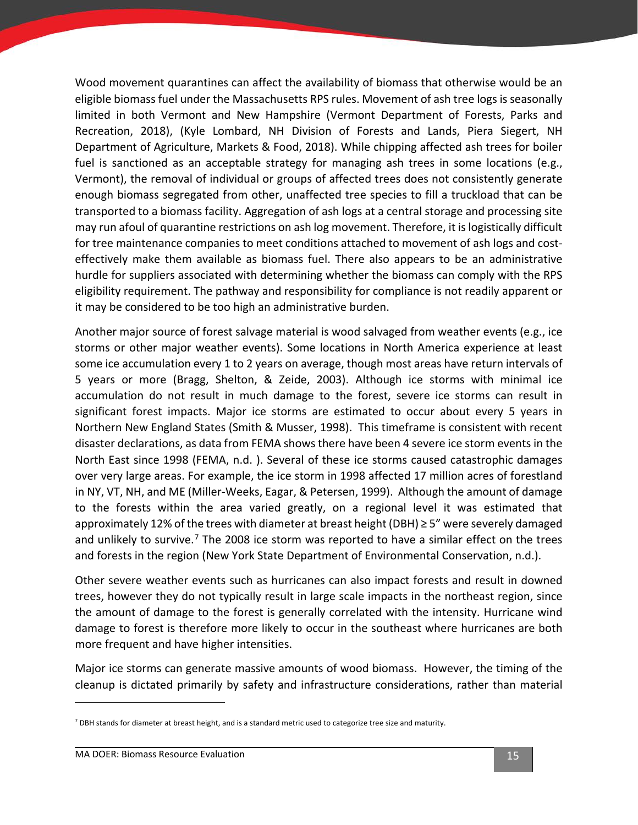Wood movement quarantines can affect the availability of biomass that otherwise would be an eligible biomass fuel under the Massachusetts RPS rules. Movement of ash tree logs is seasonally limited in both Vermont and New Hampshire (Vermont Department of Forests, Parks and Recreation, 2018), (Kyle Lombard, NH Division of Forests and Lands, Piera Siegert, NH Department of Agriculture, Markets & Food, 2018). While chipping affected ash trees for boiler fuel is sanctioned as an acceptable strategy for managing ash trees in some locations (e.g., Vermont), the removal of individual or groups of affected trees does not consistently generate enough biomass segregated from other, unaffected tree species to fill a truckload that can be transported to a biomass facility. Aggregation of ash logs at a central storage and processing site may run afoul of quarantine restrictions on ash log movement. Therefore, it is logistically difficult for tree maintenance companies to meet conditions attached to movement of ash logs and costeffectively make them available as biomass fuel. There also appears to be an administrative hurdle for suppliers associated with determining whether the biomass can comply with the RPS eligibility requirement. The pathway and responsibility for compliance is not readily apparent or it may be considered to be too high an administrative burden.

Another major source of forest salvage material is wood salvaged from weather events (e.g., ice storms or other major weather events). Some locations in North America experience at least some ice accumulation every 1 to 2 years on average, though most areas have return intervals of 5 years or more (Bragg, Shelton, & Zeide, 2003). Although ice storms with minimal ice accumulation do not result in much damage to the forest, severe ice storms can result in significant forest impacts. Major ice storms are estimated to occur about every 5 years in Northern New England States (Smith & Musser, 1998). This timeframe is consistent with recent disaster declarations, as data from FEMA shows there have been 4 severe ice storm events in the North East since 1998 (FEMA, n.d. ). Several of these ice storms caused catastrophic damages over very large areas. For example, the ice storm in 1998 affected 17 million acres of forestland in NY, VT, NH, and ME (Miller-Weeks, Eagar, & Petersen, 1999). Although the amount of damage to the forests within the area varied greatly, on a regional level it was estimated that approximately 12% of the trees with diameter at breast height (DBH)  $\geq$  5" were severely damaged and unlikely to survive.<sup>[7](#page-17-0)</sup> The 2008 ice storm was reported to have a similar effect on the trees and forests in the region (New York State Department of Environmental Conservation, n.d.).

Other severe weather events such as hurricanes can also impact forests and result in downed trees, however they do not typically result in large scale impacts in the northeast region, since the amount of damage to the forest is generally correlated with the intensity. Hurricane wind damage to forest is therefore more likely to occur in the southeast where hurricanes are both more frequent and have higher intensities.

Major ice storms can generate massive amounts of wood biomass. However, the timing of the cleanup is dictated primarily by safety and infrastructure considerations, rather than material

<span id="page-17-0"></span> $<sup>7</sup>$  DBH stands for diameter at breast height, and is a standard metric used to categorize tree size and maturity.</sup>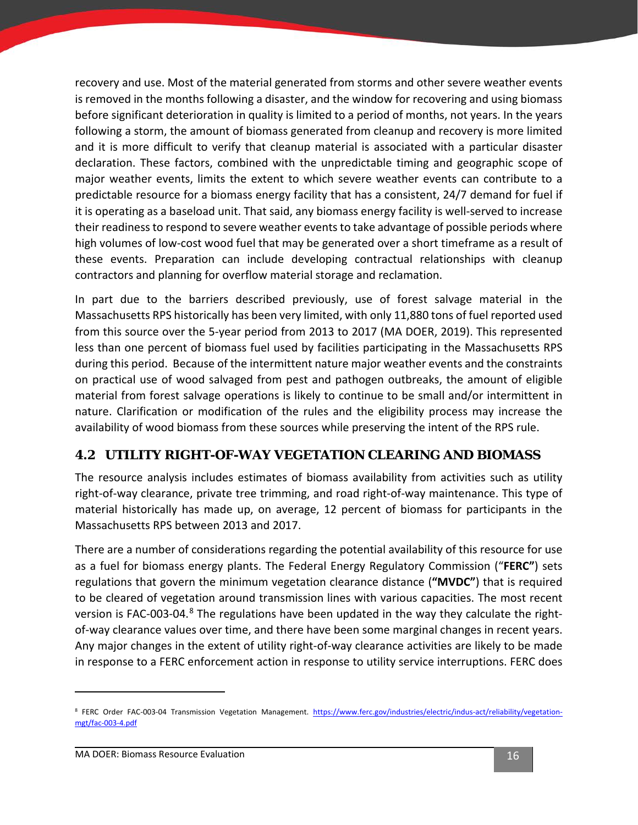recovery and use. Most of the material generated from storms and other severe weather events is removed in the months following a disaster, and the window for recovering and using biomass before significant deterioration in quality is limited to a period of months, not years. In the years following a storm, the amount of biomass generated from cleanup and recovery is more limited and it is more difficult to verify that cleanup material is associated with a particular disaster declaration. These factors, combined with the unpredictable timing and geographic scope of major weather events, limits the extent to which severe weather events can contribute to a predictable resource for a biomass energy facility that has a consistent, 24/7 demand for fuel if it is operating as a baseload unit. That said, any biomass energy facility is well-served to increase their readiness to respond to severe weather events to take advantage of possible periods where high volumes of low-cost wood fuel that may be generated over a short timeframe as a result of these events. Preparation can include developing contractual relationships with cleanup contractors and planning for overflow material storage and reclamation.

In part due to the barriers described previously, use of forest salvage material in the Massachusetts RPS historically has been very limited, with only 11,880 tons of fuel reported used from this source over the 5-year period from 2013 to 2017 (MA DOER, 2019). This represented less than one percent of biomass fuel used by facilities participating in the Massachusetts RPS during this period. Because of the intermittent nature major weather events and the constraints on practical use of wood salvaged from pest and pathogen outbreaks, the amount of eligible material from forest salvage operations is likely to continue to be small and/or intermittent in nature. Clarification or modification of the rules and the eligibility process may increase the availability of wood biomass from these sources while preserving the intent of the RPS rule.

### <span id="page-18-0"></span>**4.2 UTILITY RIGHT-OF-WAY VEGETATION CLEARING AND BIOMASS**

The resource analysis includes estimates of biomass availability from activities such as utility right-of-way clearance, private tree trimming, and road right-of-way maintenance. This type of material historically has made up, on average, 12 percent of biomass for participants in the Massachusetts RPS between 2013 and 2017.

There are a number of considerations regarding the potential availability of this resource for use as a fuel for biomass energy plants. The Federal Energy Regulatory Commission ("**FERC"**) sets regulations that govern the minimum vegetation clearance distance (**"MVDC"**) that is required to be cleared of vegetation around transmission lines with various capacities. The most recent version is FAC-003-04.<sup>[8](#page-18-1)</sup> The regulations have been updated in the way they calculate the rightof-way clearance values over time, and there have been some marginal changes in recent years. Any major changes in the extent of utility right-of-way clearance activities are likely to be made in response to a FERC enforcement action in response to utility service interruptions. FERC does

<span id="page-18-1"></span><sup>&</sup>lt;sup>8</sup> FERC Order FAC-003-04 Transmission Vegetation Management. [https://www.ferc.gov/industries/electric/indus-act/reliability/vegetation](https://www.ferc.gov/industries/electric/indus-act/reliability/vegetation-mgt/fac-003-4.pdf)[mgt/fac-003-4.pdf](https://www.ferc.gov/industries/electric/indus-act/reliability/vegetation-mgt/fac-003-4.pdf)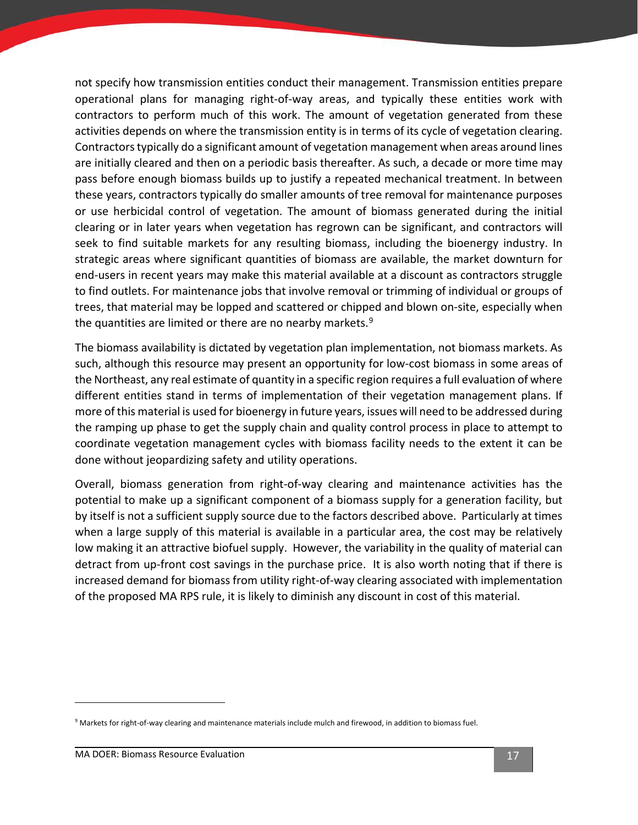not specify how transmission entities conduct their management. Transmission entities prepare operational plans for managing right-of-way areas, and typically these entities work with contractors to perform much of this work. The amount of vegetation generated from these activities depends on where the transmission entity is in terms of its cycle of vegetation clearing. Contractors typically do a significant amount of vegetation management when areas around lines are initially cleared and then on a periodic basis thereafter. As such, a decade or more time may pass before enough biomass builds up to justify a repeated mechanical treatment. In between these years, contractors typically do smaller amounts of tree removal for maintenance purposes or use herbicidal control of vegetation. The amount of biomass generated during the initial clearing or in later years when vegetation has regrown can be significant, and contractors will seek to find suitable markets for any resulting biomass, including the bioenergy industry. In strategic areas where significant quantities of biomass are available, the market downturn for end-users in recent years may make this material available at a discount as contractors struggle to find outlets. For maintenance jobs that involve removal or trimming of individual or groups of trees, that material may be lopped and scattered or chipped and blown on-site, especially when the quantities are limited or there are no nearby markets.<sup>[9](#page-19-0)</sup>

The biomass availability is dictated by vegetation plan implementation, not biomass markets. As such, although this resource may present an opportunity for low-cost biomass in some areas of the Northeast, any real estimate of quantity in a specific region requires a full evaluation of where different entities stand in terms of implementation of their vegetation management plans. If more of this material is used for bioenergy in future years, issues will need to be addressed during the ramping up phase to get the supply chain and quality control process in place to attempt to coordinate vegetation management cycles with biomass facility needs to the extent it can be done without jeopardizing safety and utility operations.

Overall, biomass generation from right-of-way clearing and maintenance activities has the potential to make up a significant component of a biomass supply for a generation facility, but by itself is not a sufficient supply source due to the factors described above. Particularly at times when a large supply of this material is available in a particular area, the cost may be relatively low making it an attractive biofuel supply. However, the variability in the quality of material can detract from up-front cost savings in the purchase price. It is also worth noting that if there is increased demand for biomass from utility right-of-way clearing associated with implementation of the proposed MA RPS rule, it is likely to diminish any discount in cost of this material.

<span id="page-19-0"></span><sup>&</sup>lt;sup>9</sup> Markets for right-of-way clearing and maintenance materials include mulch and firewood, in addition to biomass fuel.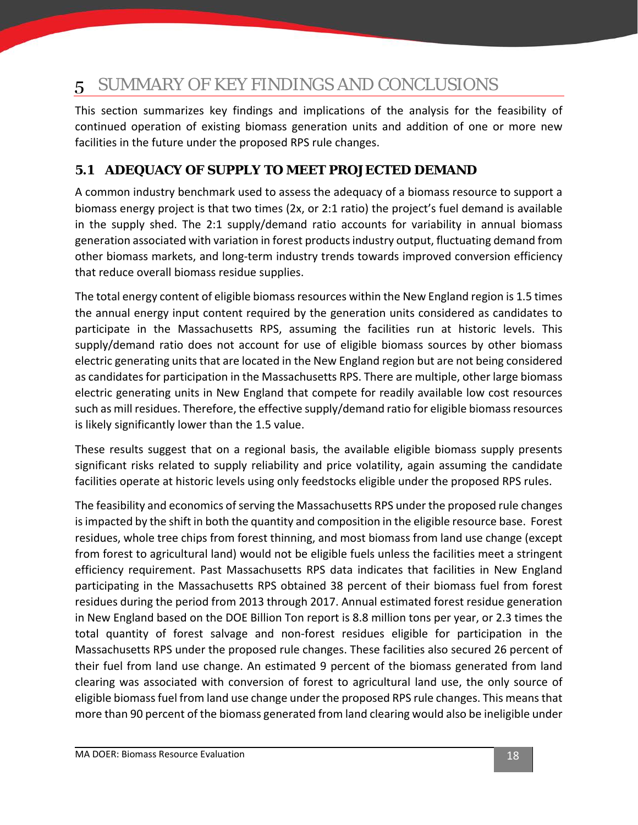#### <span id="page-20-0"></span>SUMMARY OF KEY FINDINGS AND CONCLUSIONS 5

This section summarizes key findings and implications of the analysis for the feasibility of continued operation of existing biomass generation units and addition of one or more new facilities in the future under the proposed RPS rule changes.

## <span id="page-20-1"></span>**5.1 ADEQUACY OF SUPPLY TO MEET PROJECTED DEMAND**

A common industry benchmark used to assess the adequacy of a biomass resource to support a biomass energy project is that two times (2x, or 2:1 ratio) the project's fuel demand is available in the supply shed. The 2:1 supply/demand ratio accounts for variability in annual biomass generation associated with variation in forest products industry output, fluctuating demand from other biomass markets, and long-term industry trends towards improved conversion efficiency that reduce overall biomass residue supplies.

The total energy content of eligible biomass resources within the New England region is 1.5 times the annual energy input content required by the generation units considered as candidates to participate in the Massachusetts RPS, assuming the facilities run at historic levels. This supply/demand ratio does not account for use of eligible biomass sources by other biomass electric generating units that are located in the New England region but are not being considered as candidates for participation in the Massachusetts RPS. There are multiple, other large biomass electric generating units in New England that compete for readily available low cost resources such as mill residues. Therefore, the effective supply/demand ratio for eligible biomass resources is likely significantly lower than the 1.5 value.

These results suggest that on a regional basis, the available eligible biomass supply presents significant risks related to supply reliability and price volatility, again assuming the candidate facilities operate at historic levels using only feedstocks eligible under the proposed RPS rules.

The feasibility and economics of serving the Massachusetts RPS under the proposed rule changes is impacted by the shift in both the quantity and composition in the eligible resource base. Forest residues, whole tree chips from forest thinning, and most biomass from land use change (except from forest to agricultural land) would not be eligible fuels unless the facilities meet a stringent efficiency requirement. Past Massachusetts RPS data indicates that facilities in New England participating in the Massachusetts RPS obtained 38 percent of their biomass fuel from forest residues during the period from 2013 through 2017. Annual estimated forest residue generation in New England based on the DOE Billion Ton report is 8.8 million tons per year, or 2.3 times the total quantity of forest salvage and non-forest residues eligible for participation in the Massachusetts RPS under the proposed rule changes. These facilities also secured 26 percent of their fuel from land use change. An estimated 9 percent of the biomass generated from land clearing was associated with conversion of forest to agricultural land use, the only source of eligible biomass fuel from land use change under the proposed RPS rule changes. This means that more than 90 percent of the biomass generated from land clearing would also be ineligible under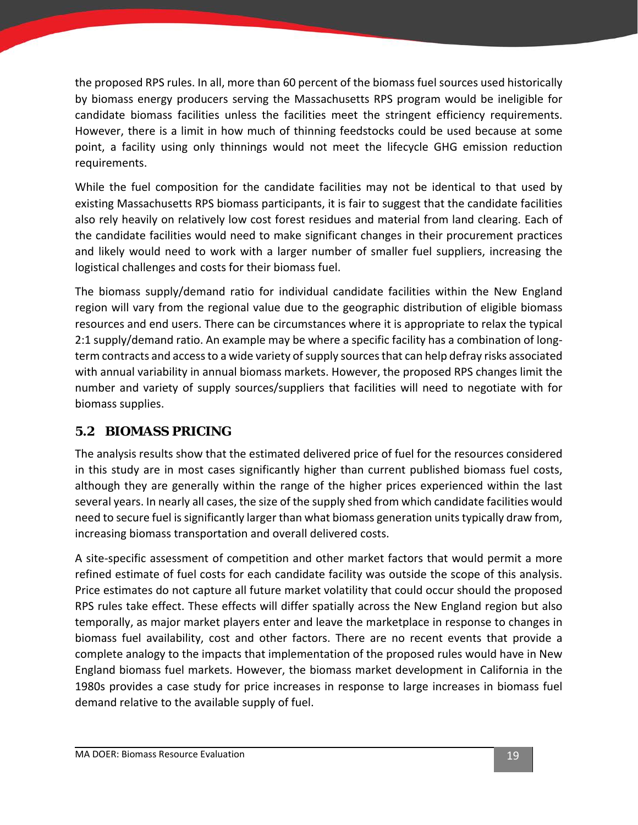the proposed RPS rules. In all, more than 60 percent of the biomass fuel sources used historically by biomass energy producers serving the Massachusetts RPS program would be ineligible for candidate biomass facilities unless the facilities meet the stringent efficiency requirements. However, there is a limit in how much of thinning feedstocks could be used because at some point, a facility using only thinnings would not meet the lifecycle GHG emission reduction requirements.

While the fuel composition for the candidate facilities may not be identical to that used by existing Massachusetts RPS biomass participants, it is fair to suggest that the candidate facilities also rely heavily on relatively low cost forest residues and material from land clearing. Each of the candidate facilities would need to make significant changes in their procurement practices and likely would need to work with a larger number of smaller fuel suppliers, increasing the logistical challenges and costs for their biomass fuel.

The biomass supply/demand ratio for individual candidate facilities within the New England region will vary from the regional value due to the geographic distribution of eligible biomass resources and end users. There can be circumstances where it is appropriate to relax the typical 2:1 supply/demand ratio. An example may be where a specific facility has a combination of longterm contracts and access to a wide variety of supply sources that can help defray risks associated with annual variability in annual biomass markets. However, the proposed RPS changes limit the number and variety of supply sources/suppliers that facilities will need to negotiate with for biomass supplies.

## <span id="page-21-0"></span>**5.2 BIOMASS PRICING**

The analysis results show that the estimated delivered price of fuel for the resources considered in this study are in most cases significantly higher than current published biomass fuel costs, although they are generally within the range of the higher prices experienced within the last several years. In nearly all cases, the size of the supply shed from which candidate facilities would need to secure fuel is significantly larger than what biomass generation units typically draw from, increasing biomass transportation and overall delivered costs.

A site-specific assessment of competition and other market factors that would permit a more refined estimate of fuel costs for each candidate facility was outside the scope of this analysis. Price estimates do not capture all future market volatility that could occur should the proposed RPS rules take effect. These effects will differ spatially across the New England region but also temporally, as major market players enter and leave the marketplace in response to changes in biomass fuel availability, cost and other factors. There are no recent events that provide a complete analogy to the impacts that implementation of the proposed rules would have in New England biomass fuel markets. However, the biomass market development in California in the 1980s provides a case study for price increases in response to large increases in biomass fuel demand relative to the available supply of fuel.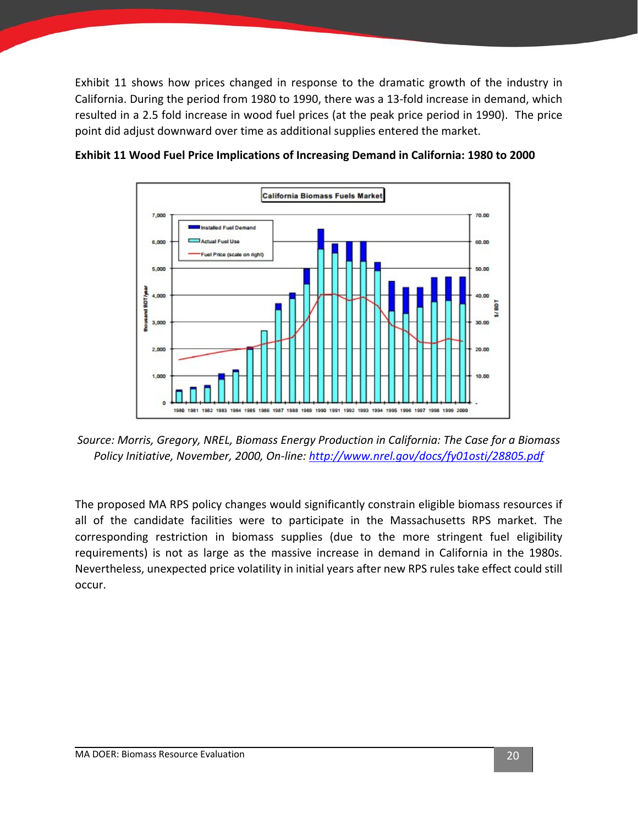[Exhibit 11](#page-22-0) shows how prices changed in response to the dramatic growth of the industry in California. During the period from 1980 to 1990, there was a 13-fold increase in demand, which resulted in a 2.5 fold increase in wood fuel prices (at the peak price period in 1990). The price point did adjust downward over time as additional supplies entered the market.



<span id="page-22-0"></span>**Exhibit 11 Wood Fuel Price Implications of Increasing Demand in California: 1980 to 2000**

*Source: Morris, Gregory, NREL, Biomass Energy Production in California: The Case for a Biomass Policy Initiative, November, 2000, On-line:<http://www.nrel.gov/docs/fy01osti/28805.pdf>*

The proposed MA RPS policy changes would significantly constrain eligible biomass resources if all of the candidate facilities were to participate in the Massachusetts RPS market. The corresponding restriction in biomass supplies (due to the more stringent fuel eligibility requirements) is not as large as the massive increase in demand in California in the 1980s. Nevertheless, unexpected price volatility in initial years after new RPS rules take effect could still occur.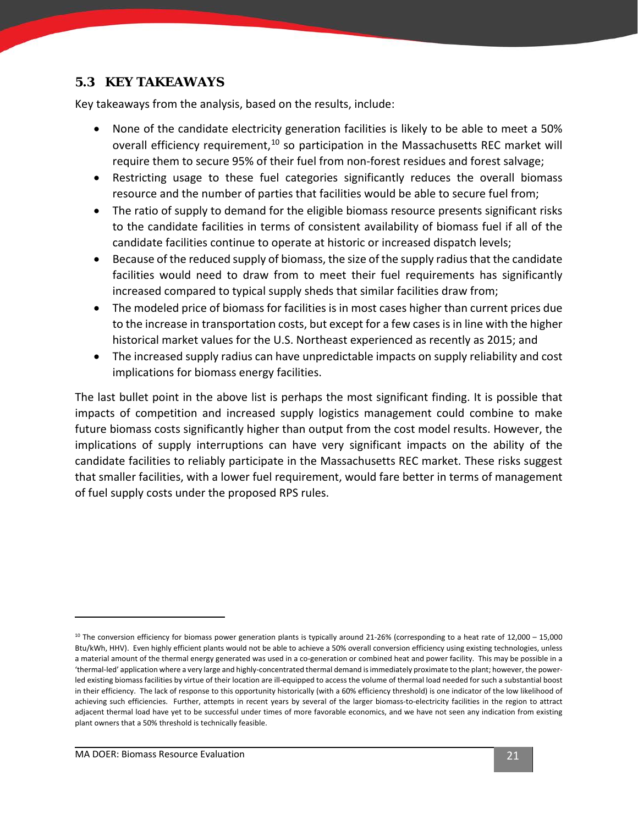### <span id="page-23-0"></span>**5.3 KEY TAKEAWAYS**

Key takeaways from the analysis, based on the results, include:

- None of the candidate electricity generation facilities is likely to be able to meet a 50% overall efficiency requirement,<sup>[10](#page-23-1)</sup> so participation in the Massachusetts REC market will require them to secure 95% of their fuel from non-forest residues and forest salvage;
- Restricting usage to these fuel categories significantly reduces the overall biomass resource and the number of parties that facilities would be able to secure fuel from;
- The ratio of supply to demand for the eligible biomass resource presents significant risks to the candidate facilities in terms of consistent availability of biomass fuel if all of the candidate facilities continue to operate at historic or increased dispatch levels;
- Because of the reduced supply of biomass, the size of the supply radius that the candidate facilities would need to draw from to meet their fuel requirements has significantly increased compared to typical supply sheds that similar facilities draw from;
- The modeled price of biomass for facilities is in most cases higher than current prices due to the increase in transportation costs, but except for a few cases is in line with the higher historical market values for the U.S. Northeast experienced as recently as 2015; and
- The increased supply radius can have unpredictable impacts on supply reliability and cost implications for biomass energy facilities.

The last bullet point in the above list is perhaps the most significant finding. It is possible that impacts of competition and increased supply logistics management could combine to make future biomass costs significantly higher than output from the cost model results. However, the implications of supply interruptions can have very significant impacts on the ability of the candidate facilities to reliably participate in the Massachusetts REC market. These risks suggest that smaller facilities, with a lower fuel requirement, would fare better in terms of management of fuel supply costs under the proposed RPS rules.

<span id="page-23-1"></span> $10$  The conversion efficiency for biomass power generation plants is typically around 21-26% (corresponding to a heat rate of 12,000 – 15,000 Btu/kWh, HHV). Even highly efficient plants would not be able to achieve a 50% overall conversion efficiency using existing technologies, unless a material amount of the thermal energy generated was used in a co-generation or combined heat and power facility. This may be possible in a 'thermal-led' application where a very large and highly-concentrated thermal demand is immediately proximate to the plant; however, the powerled existing biomass facilities by virtue of their location are ill-equipped to access the volume of thermal load needed for such a substantial boost in their efficiency. The lack of response to this opportunity historically (with a 60% efficiency threshold) is one indicator of the low likelihood of achieving such efficiencies. Further, attempts in recent years by several of the larger biomass-to-electricity facilities in the region to attract adjacent thermal load have yet to be successful under times of more favorable economics, and we have not seen any indication from existing plant owners that a 50% threshold is technically feasible.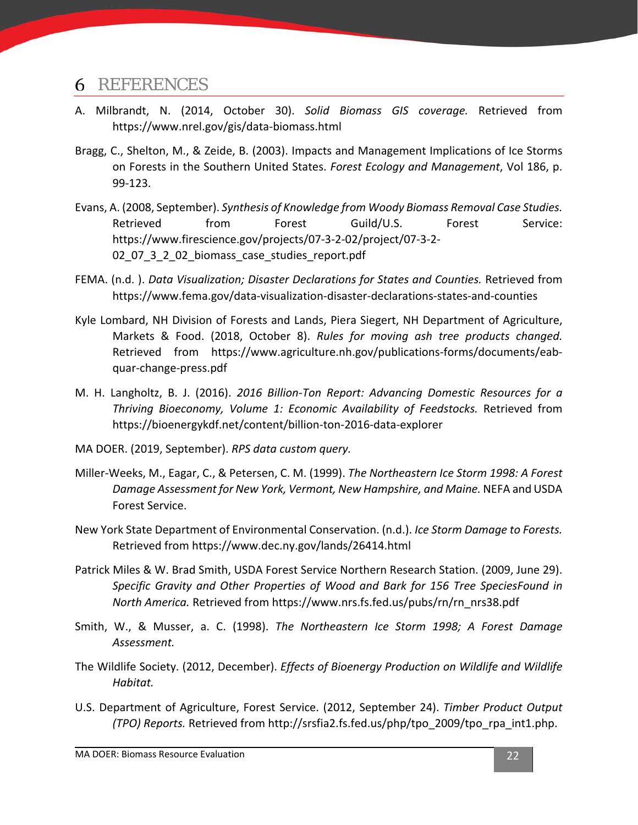## <span id="page-24-0"></span>REFERENCES

- A. Milbrandt, N. (2014, October 30). *Solid Biomass GIS coverage.* Retrieved from https://www.nrel.gov/gis/data-biomass.html
- Bragg, C., Shelton, M., & Zeide, B. (2003). Impacts and Management Implications of Ice Storms on Forests in the Southern United States. *Forest Ecology and Management*, Vol 186, p. 99-123.
- Evans, A. (2008, September). *Synthesis of Knowledge from Woody Biomass Removal Case Studies.* Retrieved from Forest Guild/U.S. Forest Service: https://www.firescience.gov/projects/07-3-2-02/project/07-3-2- 02\_07\_3\_2\_02\_biomass\_case\_studies\_report.pdf
- FEMA. (n.d. ). *Data Visualization; Disaster Declarations for States and Counties.* Retrieved from https://www.fema.gov/data-visualization-disaster-declarations-states-and-counties
- Kyle Lombard, NH Division of Forests and Lands, Piera Siegert, NH Department of Agriculture, Markets & Food. (2018, October 8). *Rules for moving ash tree products changed.* Retrieved from https://www.agriculture.nh.gov/publications-forms/documents/eabquar-change-press.pdf
- M. H. Langholtz, B. J. (2016). *2016 Billion-Ton Report: Advancing Domestic Resources for a Thriving Bioeconomy, Volume 1: Economic Availability of Feedstocks.* Retrieved from https://bioenergykdf.net/content/billion-ton-2016-data-explorer
- MA DOER. (2019, September). *RPS data custom query.*
- Miller-Weeks, M., Eagar, C., & Petersen, C. M. (1999). *The Northeastern Ice Storm 1998: A Forest Damage Assessment for New York, Vermont, New Hampshire, and Maine.* NEFA and USDA Forest Service.
- New York State Department of Environmental Conservation. (n.d.). *Ice Storm Damage to Forests.* Retrieved from https://www.dec.ny.gov/lands/26414.html
- Patrick Miles & W. Brad Smith, USDA Forest Service Northern Research Station. (2009, June 29). *Specific Gravity and Other Properties of Wood and Bark for 156 Tree SpeciesFound in North America.* Retrieved from https://www.nrs.fs.fed.us/pubs/rn/rn\_nrs38.pdf
- Smith, W., & Musser, a. C. (1998). *The Northeastern Ice Storm 1998; A Forest Damage Assessment.*
- The Wildlife Society. (2012, December). *Effects of Bioenergy Production on Wildlife and Wildlife Habitat.*
- U.S. Department of Agriculture, Forest Service. (2012, September 24). *Timber Product Output (TPO) Reports.* Retrieved from http://srsfia2.fs.fed.us/php/tpo\_2009/tpo\_rpa\_int1.php.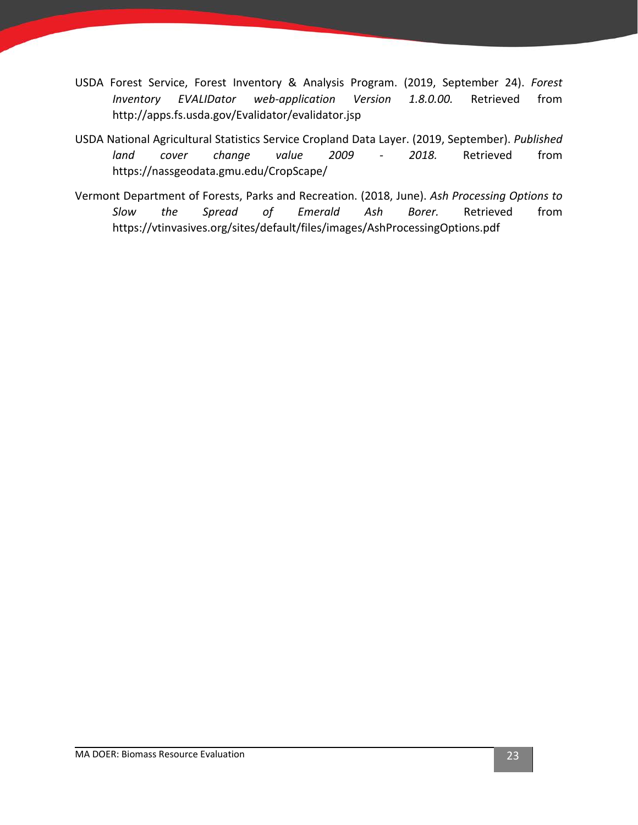- USDA Forest Service, Forest Inventory & Analysis Program. (2019, September 24). *Forest Inventory EVALIDator web-application Version 1.8.0.00.* Retrieved from http://apps.fs.usda.gov/Evalidator/evalidator.jsp
- USDA National Agricultural Statistics Service Cropland Data Layer. (2019, September). *Published land cover change value 2009 - 2018.* Retrieved from https://nassgeodata.gmu.edu/CropScape/
- Vermont Department of Forests, Parks and Recreation. (2018, June). *Ash Processing Options to Slow the Spread of Emerald Ash Borer.* Retrieved from https://vtinvasives.org/sites/default/files/images/AshProcessingOptions.pdf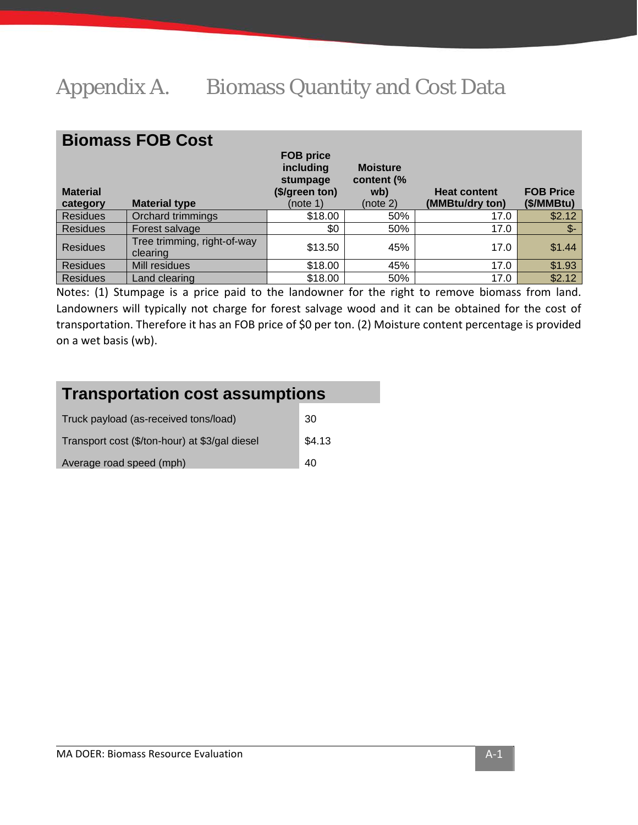# <span id="page-26-0"></span>Appendix A. Biomass Quantity and Cost Data

## **Biomass FOB Cost**

| <b>Material</b><br>category | <b>Material type</b>                    | <b>FOB price</b><br>including<br>stumpage<br>(\$/green ton)<br>(note 1) | <b>Moisture</b><br>content (%<br>wb)<br>(note 2) | <b>Heat content</b><br>(MMBtu/dry ton) | <b>FOB Price</b><br>(\$/MMBtu) |
|-----------------------------|-----------------------------------------|-------------------------------------------------------------------------|--------------------------------------------------|----------------------------------------|--------------------------------|
| <b>Residues</b>             | Orchard trimmings                       | \$18.00                                                                 | 50%                                              | 17.0                                   | \$2.12                         |
| <b>Residues</b>             | Forest salvage                          | \$0                                                                     | 50%                                              | 17.0                                   | \$-                            |
| <b>Residues</b>             | Tree trimming, right-of-way<br>clearing | \$13.50                                                                 | 45%                                              | 17.0                                   | \$1.44                         |
| <b>Residues</b>             | Mill residues                           | \$18.00                                                                 | 45%                                              | 17.0                                   | \$1.93                         |
| <b>Residues</b>             | Land clearing                           | \$18.00                                                                 | 50%                                              | 17.0                                   | \$2.12                         |

Notes: (1) Stumpage is a price paid to the landowner for the right to remove biomass from land. Landowners will typically not charge for forest salvage wood and it can be obtained for the cost of transportation. Therefore it has an FOB price of \$0 per ton. (2) Moisture content percentage is provided on a wet basis (wb).

| <b>Transportation cost assumptions</b>         |        |
|------------------------------------------------|--------|
| Truck payload (as-received tons/load)          | 30     |
| Transport cost (\$/ton-hour) at \$3/gal diesel | \$4.13 |
| Average road speed (mph)                       | 40     |